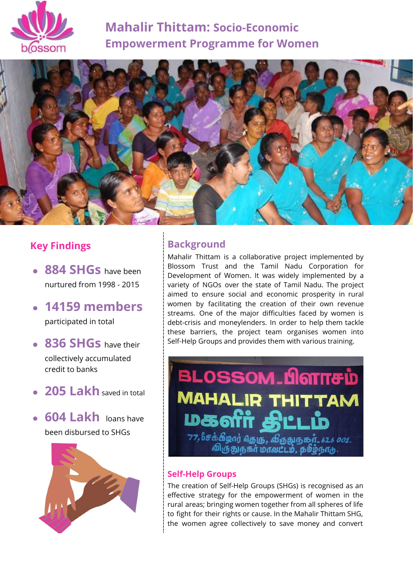

# **Mahalir Thittam: Socio-Economic Empowerment Programme for Women**



## **Key Findings**

- **884 SHGs** have been nurtured from 1998 - 2015
- **14159 members** participated in total
- **836 SHGs** have their collectively accumulated credit to banks
- **205 Lakh** saved in total

● **604 Lakh** loans have been disbursed to SHGs



### **Background**

Mahalir Thittam is a collaborative project implemented by Blossom Trust and the Tamil Nadu Corporation for Development of Women. It was widely implemented by a variety of NGOs over the state of Tamil Nadu. The project aimed to ensure social and economic prosperity in rural women by facilitating the creation of their own revenue streams. One of the major difficulties faced by women is debt-crisis and moneylenders. In order to help them tackle these barriers, the project team organises women into Self-Help Groups and provides them with various training.



### **Self-Help Groups**

The creation of Self-Help Groups (SHGs) is recognised as an effective strategy for the empowerment of women in the rural areas; bringing women together from all spheres of life to fight for their rights or cause. In the Mahalir Thittam SHG, the women agree collectively to save money and convert